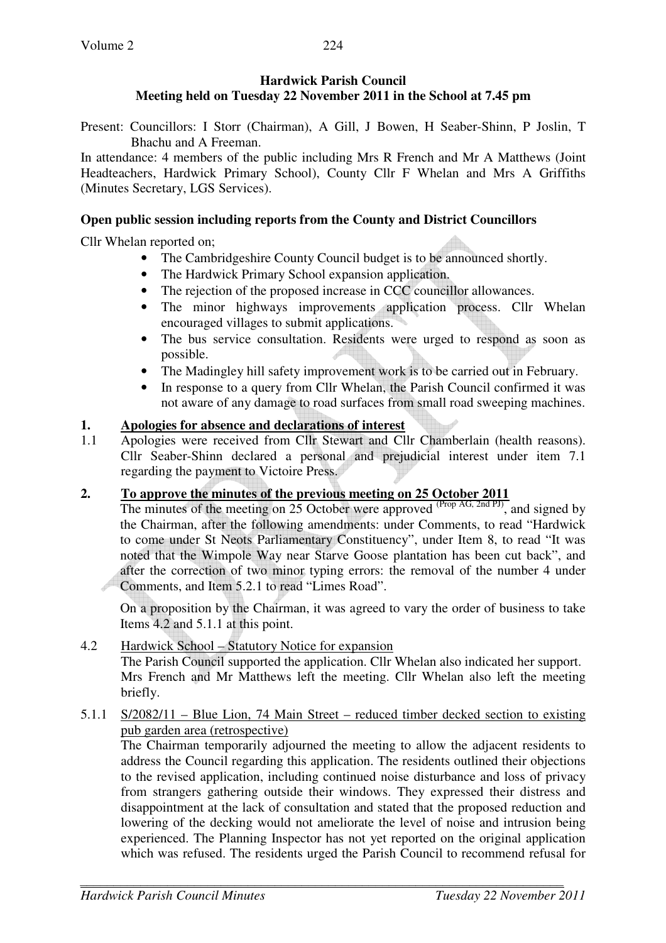#### **Hardwick Parish Council Meeting held on Tuesday 22 November 2011 in the School at 7.45 pm**

Present: Councillors: I Storr (Chairman), A Gill, J Bowen, H Seaber-Shinn, P Joslin, T Bhachu and A Freeman.

In attendance: 4 members of the public including Mrs R French and Mr A Matthews (Joint Headteachers, Hardwick Primary School), County Cllr F Whelan and Mrs A Griffiths (Minutes Secretary, LGS Services).

### **Open public session including reports from the County and District Councillors**

Cllr Whelan reported on;

- The Cambridgeshire County Council budget is to be announced shortly.
- The Hardwick Primary School expansion application.
- The rejection of the proposed increase in CCC councillor allowances.
- The minor highways improvements application process. Cllr Whelan encouraged villages to submit applications.
- The bus service consultation. Residents were urged to respond as soon as possible.
- The Madingley hill safety improvement work is to be carried out in February.
- In response to a query from Cllr Whelan, the Parish Council confirmed it was not aware of any damage to road surfaces from small road sweeping machines.

### **1. Apologies for absence and declarations of interest**

1.1 Apologies were received from Cllr Stewart and Cllr Chamberlain (health reasons). Cllr Seaber-Shinn declared a personal and prejudicial interest under item 7.1 regarding the payment to Victoire Press.

# **2. To approve the minutes of the previous meeting on 25 October 2011**

The minutes of the meeting on 25 October were approved  $\overbrace{\text{Proof }\text{AG, 2nd PJ}}^{\text{SVDXG, 2nd PJ}}$ , and signed by the Chairman, after the following amendments: under Comments, to read "Hardwick to come under St Neots Parliamentary Constituency", under Item 8, to read "It was noted that the Wimpole Way near Starve Goose plantation has been cut back", and after the correction of two minor typing errors: the removal of the number 4 under Comments, and Item 5.2.1 to read "Limes Road".

On a proposition by the Chairman, it was agreed to vary the order of business to take Items 4.2 and 5.1.1 at this point.

#### 4.2 Hardwick School – Statutory Notice for expansion The Parish Council supported the application. Cllr Whelan also indicated her support. Mrs French and Mr Matthews left the meeting. Cllr Whelan also left the meeting briefly.

5.1.1 S/2082/11 – Blue Lion, 74 Main Street – reduced timber decked section to existing pub garden area (retrospective)

 The Chairman temporarily adjourned the meeting to allow the adjacent residents to address the Council regarding this application. The residents outlined their objections to the revised application, including continued noise disturbance and loss of privacy from strangers gathering outside their windows. They expressed their distress and disappointment at the lack of consultation and stated that the proposed reduction and lowering of the decking would not ameliorate the level of noise and intrusion being experienced. The Planning Inspector has not yet reported on the original application which was refused. The residents urged the Parish Council to recommend refusal for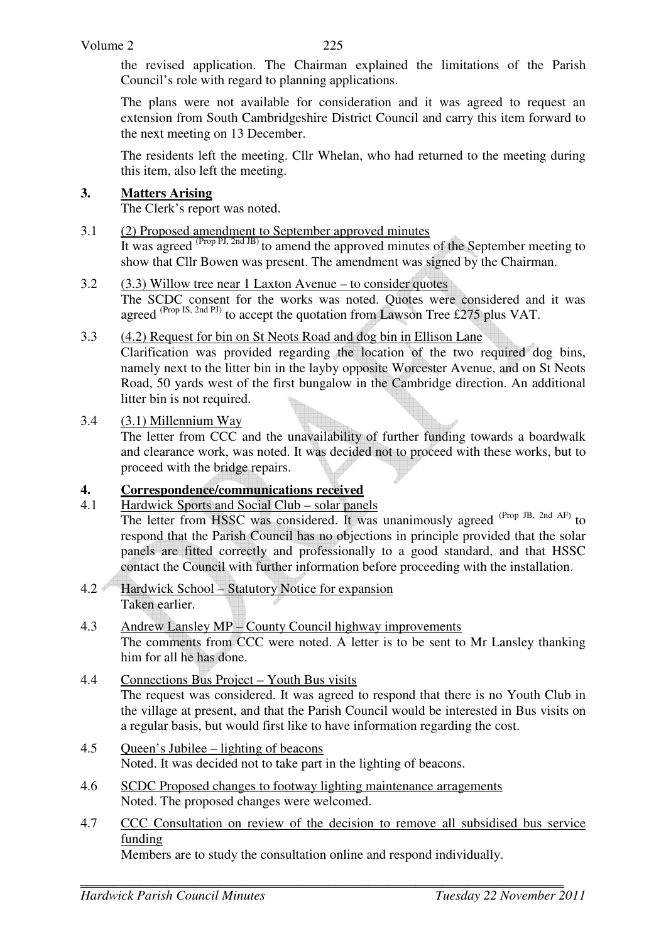the revised application. The Chairman explained the limitations of the Parish Council's role with regard to planning applications.

 The plans were not available for consideration and it was agreed to request an extension from South Cambridgeshire District Council and carry this item forward to the next meeting on 13 December.

 The residents left the meeting. Cllr Whelan, who had returned to the meeting during this item, also left the meeting.

#### **3. Matters Arising**

The Clerk's report was noted.

- 3.1 (2) Proposed amendment to September approved minutes It was agreed <sup>(Prop PJ, 2nd JB)</sup> to amend the approved minutes of the September meeting to show that Cllr Bowen was present. The amendment was signed by the Chairman.
- 3.2 (3.3) Willow tree near 1 Laxton Avenue to consider quotes The SCDC consent for the works was noted. Quotes were considered and it was agreed (Prop IS, 2nd PJ) to accept the quotation from Lawson Tree £275 plus VAT.
- 3.3 (4.2) Request for bin on St Neots Road and dog bin in Ellison Lane

Clarification was provided regarding the location of the two required dog bins, namely next to the litter bin in the layby opposite Worcester Avenue, and on St Neots Road, 50 yards west of the first bungalow in the Cambridge direction. An additional litter bin is not required.

#### 3.4  $(3.1)$  Millennium Way

The letter from CCC and the unavailability of further funding towards a boardwalk and clearance work, was noted. It was decided not to proceed with these works, but to proceed with the bridge repairs.

### **4. Correspondence/communications received**

- 4.1 Hardwick Sports and Social Club solar panels The letter from HSSC was considered. It was unanimously agreed <sup>(Prop JB, 2nd AF)</sup> to respond that the Parish Council has no objections in principle provided that the solar panels are fitted correctly and professionally to a good standard, and that HSSC contact the Council with further information before proceeding with the installation.
- 4.2 Hardwick School Statutory Notice for expansion Taken earlier.
- 4.3 Andrew Lansley MP County Council highway improvements The comments from CCC were noted. A letter is to be sent to Mr Lansley thanking him for all he has done.
- 4.4 Connections Bus Project Youth Bus visits The request was considered. It was agreed to respond that there is no Youth Club in the village at present, and that the Parish Council would be interested in Bus visits on a regular basis, but would first like to have information regarding the cost.
- 4.5 Queen's Jubilee lighting of beacons Noted. It was decided not to take part in the lighting of beacons.
- 4.6 SCDC Proposed changes to footway lighting maintenance arragements Noted. The proposed changes were welcomed.
- 4.7 CCC Consultation on review of the decision to remove all subsidised bus service funding

Members are to study the consultation online and respond individually.